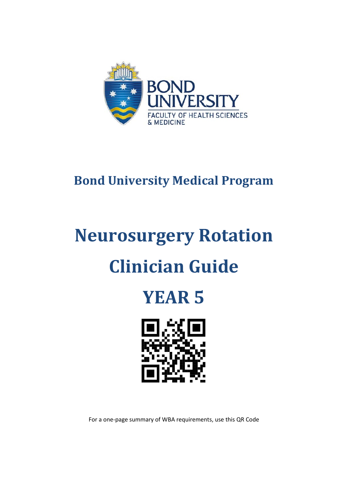

# **Bond University Medical Program**

# **Neurosurgery Rotation Clinician Guide**





For a one-page summary of WBA requirements, use this QR Code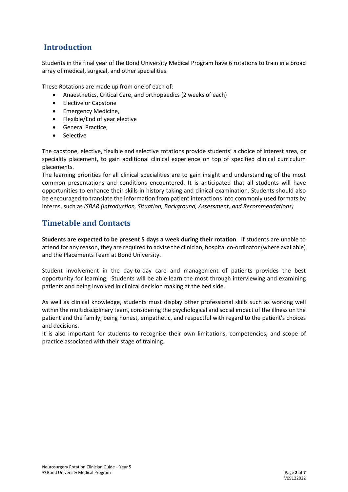## **Introduction**

Students in the final year of the Bond University Medical Program have 6 rotations to train in a broad array of medical, surgical, and other specialities.

These Rotations are made up from one of each of:

- Anaesthetics, Critical Care, and orthopaedics (2 weeks of each)
- Elective or Capstone
- Emergency Medicine,
- Flexible/End of year elective
- General Practice,
- Selective

The capstone, elective, flexible and selective rotations provide students' a choice of interest area, or speciality placement, to gain additional clinical experience on top of specified clinical curriculum placements.

The learning priorities for all clinical specialities are to gain insight and understanding of the most common presentations and conditions encountered. It is anticipated that all students will have opportunities to enhance their skills in history taking and clinical examination. Students should also be encouraged to translate the information from patient interactions into commonly used formats by interns, such as *ISBAR (Introduction, Situation, Background, Assessment, and Recommendations)*

## **Timetable and Contacts**

**Students are expected to be present 5 days a week during their rotation**. If students are unable to attend for any reason, they are required to advise the clinician, hospital co-ordinator (where available) and the Placements Team at Bond University.

Student involvement in the day-to-day care and management of patients provides the best opportunity for learning. Students will be able learn the most through interviewing and examining patients and being involved in clinical decision making at the bed side.

As well as clinical knowledge, students must display other professional skills such as working well within the multidisciplinary team, considering the psychological and social impact of the illness on the patient and the family, being honest, empathetic, and respectful with regard to the patient's choices and decisions.

It is also important for students to recognise their own limitations, competencies, and scope of practice associated with their stage of training.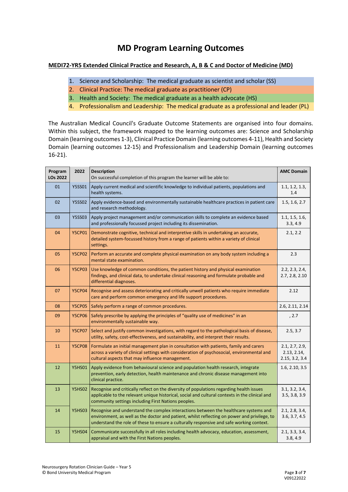# **MD Program Learning Outcomes**

#### **MEDI72-YR5 Extended Clinical Practice and Research, A, B & C and Doctor of Medicine (MD)**

- 1. Science and Scholarship: The medical graduate as scientist and scholar (SS)
- 2. Clinical Practice: The medical graduate as practitioner (CP)
- 3. Health and Society: The medical graduate as a health advocate (HS)
- 4. Professionalism and Leadership: The medical graduate as a professional and leader (PL)

The Australian Medical Council's Graduate Outcome Statements are organised into four domains. Within this subject, the framework mapped to the learning outcomes are: Science and Scholarship Domain (learning outcomes 1-3), Clinical Practice Domain (learning outcomes 4-11), Health and Society Domain (learning outcomes 12-15) and Professionalism and Leadership Domain (learning outcomes 16-21).

| Program<br>LOs 2022 | 2022          | <b>Description</b><br>On successful completion of this program the learner will be able to:                                                                                                                                                                                      | <b>AMC Domain</b>                               |
|---------------------|---------------|----------------------------------------------------------------------------------------------------------------------------------------------------------------------------------------------------------------------------------------------------------------------------------|-------------------------------------------------|
| 01                  | <b>Y5SS01</b> | Apply current medical and scientific knowledge to individual patients, populations and<br>health systems.                                                                                                                                                                        | 1.1, 1.2, 1.3,<br>1.4                           |
| 02                  | <b>Y5SS02</b> | Apply evidence-based and environmentally sustainable healthcare practices in patient care<br>and research methodology.                                                                                                                                                           | 1.5, 1.6, 2.7                                   |
| 03                  | <b>Y5SS03</b> | Apply project management and/or communication skills to complete an evidence based<br>and professionally focussed project including its dissemination.                                                                                                                           | 1.1, 1.5, 1.6,<br>3.3, 4.9                      |
| 04                  | <b>Y5CP01</b> | Demonstrate cognitive, technical and interpretive skills in undertaking an accurate,<br>detailed system-focussed history from a range of patients within a variety of clinical<br>settings.                                                                                      | 2.1, 2.2                                        |
| 05                  | <b>Y5CP02</b> | Perform an accurate and complete physical examination on any body system including a<br>mental state examination.                                                                                                                                                                | 2.3                                             |
| 06                  | <b>Y5CP03</b> | Use knowledge of common conditions, the patient history and physical examination<br>findings, and clinical data, to undertake clinical reasoning and formulate probable and<br>differential diagnoses.                                                                           | 2.2, 2.3, 2.4,<br>2.7, 2.8, 2.10                |
| 07                  | <b>Y5CP04</b> | Recognise and assess deteriorating and critically unwell patients who require immediate<br>care and perform common emergency and life support procedures.                                                                                                                        | 2.12                                            |
| 08                  | <b>Y5CP05</b> | Safely perform a range of common procedures.                                                                                                                                                                                                                                     | 2.6, 2.11, 2.14                                 |
| 09                  | <b>Y5CP06</b> | Safely prescribe by applying the principles of "quality use of medicines" in an<br>environmentally sustainable way.                                                                                                                                                              | , 2.7                                           |
| 10                  | <b>Y5CP07</b> | Select and justify common investigations, with regard to the pathological basis of disease,<br>utility, safety, cost-effectiveness, and sustainability, and interpret their results.                                                                                             | 2.5, 3.7                                        |
| 11                  | <b>Y5CP08</b> | Formulate an initial management plan in consultation with patients, family and carers<br>across a variety of clinical settings with consideration of psychosocial, environmental and<br>cultural aspects that may influence management.                                          | 2.1, 2.7, 2.9,<br>2.13, 2.14,<br>2.15, 3.2, 3.4 |
| 12                  | <b>Y5HS01</b> | Apply evidence from behavioural science and population health research, integrate<br>prevention, early detection, health maintenance and chronic disease management into<br>clinical practice.                                                                                   | 1.6, 2.10, 3.5                                  |
| 13                  | <b>Y5HS02</b> | Recognise and critically reflect on the diversity of populations regarding health issues<br>applicable to the relevant unique historical, social and cultural contexts in the clinical and<br>community settings including First Nations peoples.                                | 3.1, 3.2, 3.4,<br>3.5, 3.8, 3.9                 |
| 14                  | <b>Y5HS03</b> | Recognise and understand the complex interactions between the healthcare systems and<br>environment, as well as the doctor and patient, whilst reflecting on power and privilege, to<br>understand the role of these to ensure a culturally responsive and safe working context. | 2.1, 2.8, 3.4,<br>3.6, 3.7, 4.5                 |
| 15                  | <b>Y5HS04</b> | Communicate successfully in all roles including health advocacy, education, assessment,<br>appraisal and with the First Nations peoples.                                                                                                                                         | 2.1, 3.3, 3.4,<br>3.8, 4.9                      |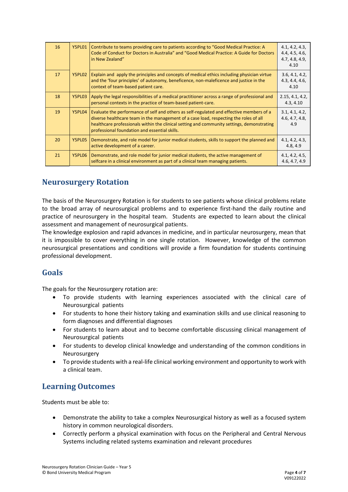| 16 | <b>Y5PL01</b> | Contribute to teams providing care to patients according to "Good Medical Practice: A<br>Code of Conduct for Doctors in Australia" and "Good Medical Practice: A Guide for Doctors<br>in New Zealand"                                                                                                                            | 4.1, 4.2, 4.3,<br>4.4, 4.5, 4.6,<br>4.7, 4.8, 4.9,<br>4.10 |
|----|---------------|----------------------------------------------------------------------------------------------------------------------------------------------------------------------------------------------------------------------------------------------------------------------------------------------------------------------------------|------------------------------------------------------------|
| 17 | Y5PL02        | Explain and apply the principles and concepts of medical ethics including physician virtue<br>and the 'four principles' of autonomy, beneficence, non-maleficence and justice in the<br>context of team-based patient care.                                                                                                      | 3.6, 4.1, 4.2,<br>4.3, 4.4, 4.6,<br>4.10                   |
| 18 | Y5PL03        | Apply the legal responsibilities of a medical practitioner across a range of professional and<br>personal contexts in the practice of team-based patient-care.                                                                                                                                                                   | 2.15, 4.1, 4.2,<br>4.3, 4.10                               |
| 19 | Y5PL04        | Evaluate the performance of self and others as self-regulated and effective members of a<br>diverse healthcare team in the management of a case load, respecting the roles of all<br>healthcare professionals within the clinical setting and community settings, demonstrating<br>professional foundation and essential skills. | 3.1, 4.1, 4.2,<br>4.6, 4.7, 4.8,<br>4.9                    |
| 20 | Y5PL05        | Demonstrate, and role model for junior medical students, skills to support the planned and<br>active development of a career.                                                                                                                                                                                                    | 4.1, 4.2, 4.3,<br>4.8, 4.9                                 |
| 21 | Y5PL06        | Demonstrate, and role model for junior medical students, the active management of<br>selfcare in a clinical environment as part of a clinical team managing patients.                                                                                                                                                            | 4.1, 4.2, 4.5,<br>4.6, 4.7, 4.9                            |

#### **Neurosurgery Rotation**

The basis of the Neurosurgery Rotation is for students to see patients whose clinical problems relate to the broad array of neurosurgical problems and to experience first-hand the daily routine and practice of neurosurgery in the hospital team. Students are expected to learn about the clinical assessment and management of neurosurgical patients.

The knowledge explosion and rapid advances in medicine, and in particular neurosurgery, mean that it is impossible to cover everything in one single rotation. However, knowledge of the common neurosurgical presentations and conditions will provide a firm foundation for students continuing professional development.

#### **Goals**

The goals for the Neurosurgery rotation are:

- To provide students with learning experiences associated with the clinical care of Neurosurgical patients
- For students to hone their history taking and examination skills and use clinical reasoning to form diagnoses and differential diagnoses
- For students to learn about and to become comfortable discussing clinical management of Neurosurgical patients
- For students to develop clinical knowledge and understanding of the common conditions in Neurosurgery
- To provide students with a real-life clinical working environment and opportunity to work with a clinical team.

#### **Learning Outcomes**

Students must be able to:

- Demonstrate the ability to take a complex Neurosurgical history as well as a focused system history in common neurological disorders.
- Correctly perform a physical examination with focus on the Peripheral and Central Nervous Systems including related systems examination and relevant procedures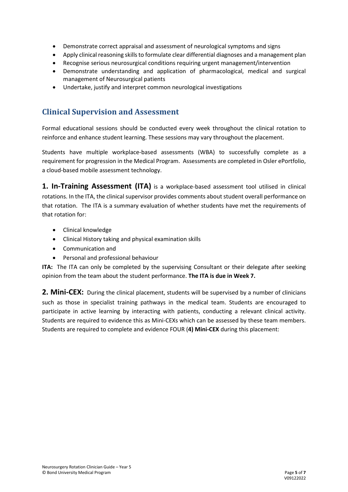- Demonstrate correct appraisal and assessment of neurological symptoms and signs
- Apply clinical reasoning skills to formulate clear differential diagnoses and a management plan
- Recognise serious neurosurgical conditions requiring urgent management/intervention
- Demonstrate understanding and application of pharmacological, medical and surgical management of Neurosurgical patients
- Undertake, justify and interpret common neurological investigations

#### **Clinical Supervision and Assessment**

Formal educational sessions should be conducted every week throughout the clinical rotation to reinforce and enhance student learning. These sessions may vary throughout the placement.

Students have multiple workplace-based assessments (WBA) to successfully complete as a requirement for progression in the Medical Program. Assessments are completed in Osler ePortfolio, a cloud-based mobile assessment technology.

**1. In-Training Assessment (ITA)** is a workplace-based assessment tool utilised in clinical rotations. In the ITA, the clinical supervisor provides comments about student overall performance on that rotation. The ITA is a summary evaluation of whether students have met the requirements of that rotation for:

- Clinical knowledge
- Clinical History taking and physical examination skills
- Communication and
- Personal and professional behaviour

**ITA:** The ITA can only be completed by the supervising Consultant or their delegate after seeking opinion from the team about the student performance. **The ITA is due in Week 7.**

2. Mini-CEX: During the clinical placement, students will be supervised by a number of clinicians such as those in specialist training pathways in the medical team. Students are encouraged to participate in active learning by interacting with patients, conducting a relevant clinical activity. Students are required to evidence this as Mini-CEXs which can be assessed by these team members. Students are required to complete and evidence FOUR (**4) Mini-CEX** during this placement: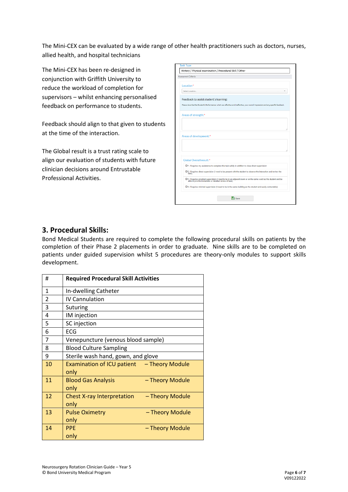The Mini-CEX can be evaluated by a wide range of other health practitioners such as doctors, nurses, allied health, and hospital technicians

The Mini-CEX has been re-designed in conjunction with Griffith University to reduce the workload of completion for supervisors – whilst enhancing personalised feedback on performance to students.

Feedback should align to that given to students at the time of the interaction.

The Global result is a trust rating scale to align our evaluation of students with future clinician decisions around Entrustable Professional Activities.

| <b>Assessment Criteria</b> |                                                                                                                                                                         |
|----------------------------|-------------------------------------------------------------------------------------------------------------------------------------------------------------------------|
| Location*                  |                                                                                                                                                                         |
| Select Location            |                                                                                                                                                                         |
|                            | Feedback to assist student's learning:                                                                                                                                  |
|                            | Please describe the Student's Performance: what was effective and ineffective, your overall impression and any specific feedback.                                       |
| Areas of strength:*        |                                                                                                                                                                         |
|                            |                                                                                                                                                                         |
|                            |                                                                                                                                                                         |
|                            |                                                                                                                                                                         |
|                            |                                                                                                                                                                         |
|                            | Areas of development:*                                                                                                                                                  |
|                            |                                                                                                                                                                         |
|                            |                                                                                                                                                                         |
|                            | Global Overall result:*                                                                                                                                                 |
|                            | O 1. Requires my assistance to complete this task safely in addition to close direct supervision                                                                        |
| task)                      | O 2. Requires direct supervision (I need to be present with the student to observe the interaction and review the                                                       |
|                            | O 3. Requires proximal supervision (I need to be in an adjacent room or on the same ward as the student and be<br>able to provide immediate or detailed review of task) |

#### **3. Procedural Skills:**

Bond Medical Students are required to complete the following procedural skills on patients by the completion of their Phase 2 placements in order to graduate. Nine skills are to be completed on patients under guided supervision whilst 5 procedures are theory-only modules to support skills development.

| #              | <b>Required Procedural Skill Activities</b>                  |
|----------------|--------------------------------------------------------------|
| 1              | In-dwelling Catheter                                         |
| $\overline{2}$ | <b>IV Cannulation</b>                                        |
| 3              | <b>Suturing</b>                                              |
| 4              | IM injection                                                 |
| 5              | SC injection                                                 |
| 6              | ECG                                                          |
| 7              | Venepuncture (venous blood sample)                           |
| 8              | <b>Blood Culture Sampling</b>                                |
| 9              | Sterile wash hand, gown, and glove                           |
| 10             | Examination of ICU patient - Theory Module<br>only           |
| 11             | <b>Blood Gas Analysis</b><br>- Theory Module<br>only         |
| 12             | <b>Chest X-ray Interpretation</b><br>- Theory Module<br>only |
| 13             | <b>Pulse Oximetry</b><br>- Theory Module<br>only             |
| 14             | - Theory Module<br><b>PPF</b><br>only                        |